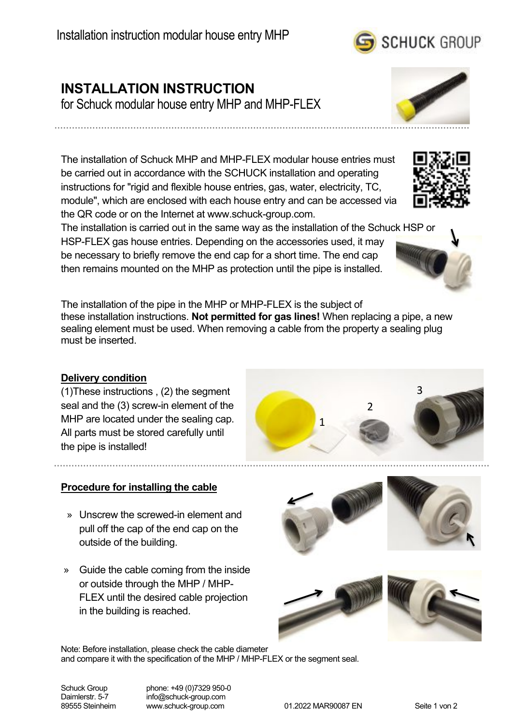# **INSTALLATION INSTRUCTION**

for Schuck modular house entry MHP and MHP-FLEX

The installation of Schuck MHP and MHP-FLEX modular house entries must be carried out in accordance with the SCHUCK installation and operating instructions for "rigid and flexible house entries, gas, water, electricity, TC, module", which are enclosed with each house entry and can be accessed via the QR code or on the Internet at www.schuck-group.com.

The installation is carried out in the same way as the installation of the Schuck HSP or HSP-FLEX gas house entries. Depending on the accessories used, it may be necessary to briefly remove the end cap for a short time. The end cap then remains mounted on the MHP as protection until the pipe is installed.

The installation of the pipe in the MHP or MHP-FLEX is the subject of these installation instructions. **Not permitted for gas lines!** When replacing a pipe, a new sealing element must be used. When removing a cable from the property a sealing plug must be inserted.

## **Delivery condition**

(1)These instructions , (2) the segment seal and the (3) screw-in element of the MHP are located under the sealing cap. All parts must be stored carefully until the pipe is installed!

### **Procedure for installing the cable**

- » Unscrew the screwed-in element and pull off the cap of the end cap on the outside of the building.
- » Guide the cable coming from the inside or outside through the MHP / MHP-FLEX until the desired cable projection in the building is reached.

Note: Before installation, please check the cable diameter and compare it with the specification of the MHP / MHP-FLEX or the segment seal.